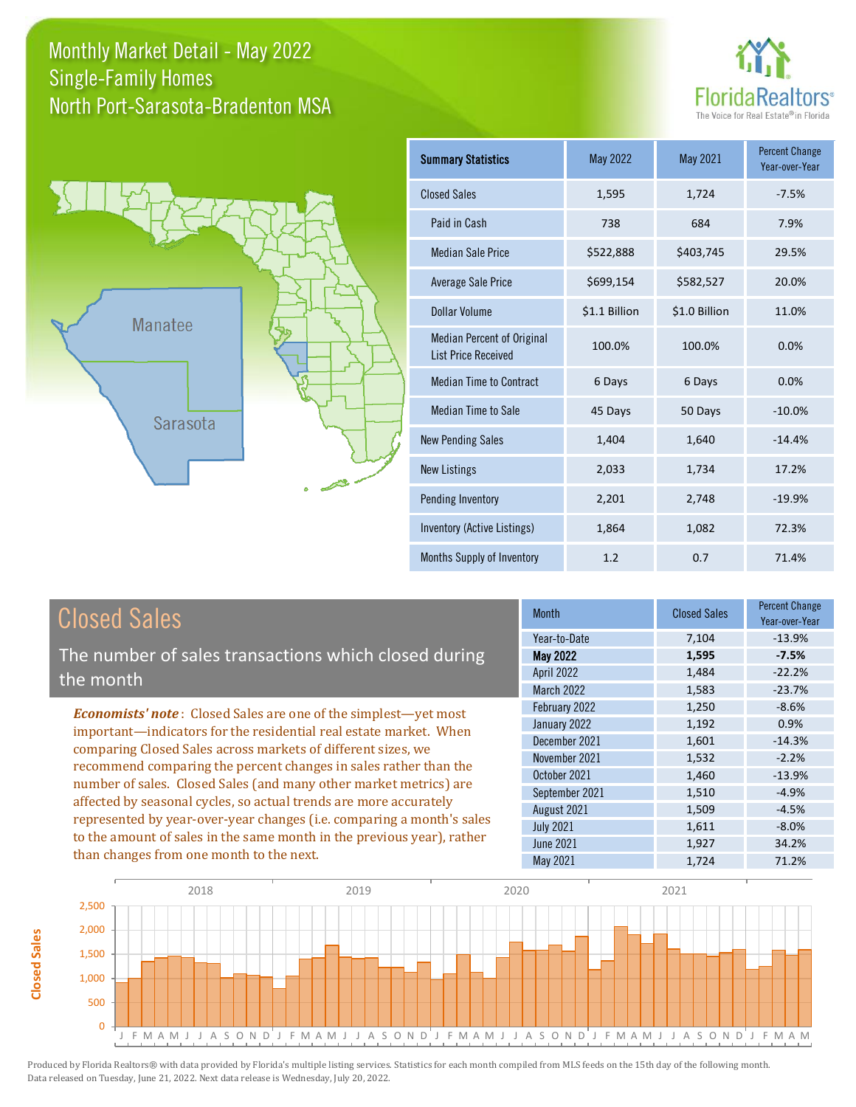Monthly Market Detail - May 2022 North Port-Sarasota-Bradenton MSA Single-Family Homes





| <b>Summary Statistics</b>                                       | May 2022      | May 2021      | <b>Percent Change</b><br>Year-over-Year |
|-----------------------------------------------------------------|---------------|---------------|-----------------------------------------|
| <b>Closed Sales</b>                                             | 1,595         | 1,724         | $-7.5%$                                 |
| Paid in Cash                                                    | 738           | 684           | 7.9%                                    |
| <b>Median Sale Price</b>                                        | \$522,888     | \$403,745     | 29.5%                                   |
| Average Sale Price                                              | \$699,154     | \$582,527     | 20.0%                                   |
| Dollar Volume                                                   | \$1.1 Billion | \$1.0 Billion | 11.0%                                   |
| <b>Median Percent of Original</b><br><b>List Price Received</b> | 100.0%        | 100.0%        | 0.0%                                    |
| <b>Median Time to Contract</b>                                  | 6 Days        | 6 Days        | 0.0%                                    |
| <b>Median Time to Sale</b>                                      | 45 Days       | 50 Days       | $-10.0%$                                |
| <b>New Pending Sales</b>                                        | 1,404         | 1,640         | $-14.4%$                                |
| <b>New Listings</b>                                             | 2,033         | 1,734         | 17.2%                                   |
| Pending Inventory                                               | 2,201         | 2,748         | $-19.9%$                                |
| Inventory (Active Listings)                                     | 1,864         | 1,082         | 72.3%                                   |
| Months Supply of Inventory                                      | 1.2           | 0.7           | 71.4%                                   |

## Closed Sales

The number of sales transactions which closed during the month

*Economists' note* : Closed Sales are one of the simplest—yet most important—indicators for the residential real estate market. When comparing Closed Sales across markets of different sizes, we recommend comparing the percent changes in sales rather than the number of sales. Closed Sales (and many other market metrics) are affected by seasonal cycles, so actual trends are more accurately represented by year-over-year changes (i.e. comparing a month's sales to the amount of sales in the same month in the previous year), rather than changes from one month to the next.

| <b>Month</b>      | <b>Closed Sales</b> | Percent Change<br>Year-over-Year |
|-------------------|---------------------|----------------------------------|
| Year-to-Date      | 7,104               | $-13.9%$                         |
| <b>May 2022</b>   | 1,595               | $-7.5%$                          |
| <b>April 2022</b> | 1,484               | $-22.2%$                         |
| March 2022        | 1,583               | $-23.7%$                         |
| February 2022     | 1,250               | $-8.6%$                          |
| January 2022      | 1,192               | 0.9%                             |
| December 2021     | 1,601               | $-14.3%$                         |
| November 2021     | 1,532               | $-2.2%$                          |
| October 2021      | 1,460               | $-13.9%$                         |
| September 2021    | 1,510               | $-4.9%$                          |
| August 2021       | 1,509               | $-4.5%$                          |
| <b>July 2021</b>  | 1,611               | $-8.0%$                          |
| <b>June 2021</b>  | 1,927               | 34.2%                            |
| <b>May 2021</b>   | 1,724               | 71.2%                            |

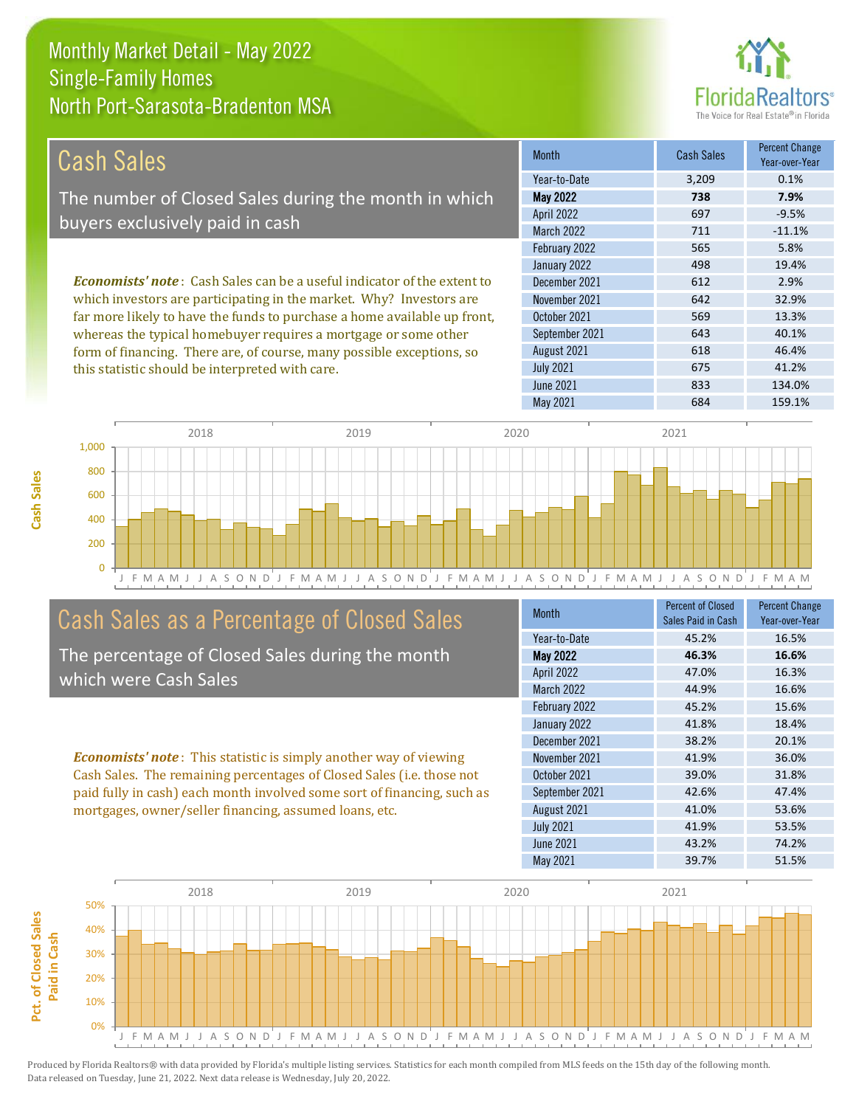

| Cash Sales                                                                     | <b>Month</b>      | <b>Cash Sales</b> | <b>Percent Change</b><br>Year-over-Year |
|--------------------------------------------------------------------------------|-------------------|-------------------|-----------------------------------------|
|                                                                                | Year-to-Date      | 3,209             | 0.1%                                    |
| The number of Closed Sales during the month in which                           | <b>May 2022</b>   | 738               | 7.9%                                    |
| buyers exclusively paid in cash                                                | <b>April 2022</b> | 697               | $-9.5%$                                 |
|                                                                                | <b>March 2022</b> | 711               | $-11.1%$                                |
|                                                                                | February 2022     | 565               | 5.8%                                    |
|                                                                                | January 2022      | 498               | 19.4%                                   |
| <b>Economists' note:</b> Cash Sales can be a useful indicator of the extent to | December 2021     | 612               | 2.9%                                    |
| which investors are participating in the market. Why? Investors are            | November 2021     | 642               | 32.9%                                   |
| far more likely to have the funds to purchase a home available up front,       | October 2021      | 569               | 13.3%                                   |
| whereas the typical homebuyer requires a mortgage or some other                | September 2021    | 643               | 40.1%                                   |
| form of financing. There are, of course, many possible exceptions, so          | August 2021       | 618               | 46.4%                                   |
| this statistic should be interpreted with care.                                | <b>July 2021</b>  | 675               | 41.2%                                   |



## Cash Sales as a Percentage of Closed Sales

The percentage of Closed Sales during the month which were Cash Sales

*Economists' note* : This statistic is simply another way of viewing Cash Sales. The remaining percentages of Closed Sales (i.e. those not paid fully in cash) each month involved some sort of financing, such as mortgages, owner/seller financing, assumed loans, etc.

| Month            | <b>Percent of Closed</b><br>Sales Paid in Cash | <b>Percent Change</b><br>Year-over-Year |
|------------------|------------------------------------------------|-----------------------------------------|
| Year-to-Date     | 45.2%                                          | 16.5%                                   |
| <b>May 2022</b>  | 46.3%                                          | 16.6%                                   |
| April 2022       | 47.0%                                          | 16.3%                                   |
| March 2022       | 44.9%                                          | 16.6%                                   |
| February 2022    | 45.2%                                          | 15.6%                                   |
| January 2022     | 41.8%                                          | 18.4%                                   |
| December 2021    | 38.2%                                          | 20.1%                                   |
| November 2021    | 41.9%                                          | 36.0%                                   |
| October 2021     | 39.0%                                          | 31.8%                                   |
| September 2021   | 42.6%                                          | 47.4%                                   |
| August 2021      | 41.0%                                          | 53.6%                                   |
| <b>July 2021</b> | 41.9%                                          | 53.5%                                   |
| <b>June 2021</b> | 43.2%                                          | 74.2%                                   |
| May 2021         | 39.7%                                          | 51.5%                                   |

June 2021 833 134.0%

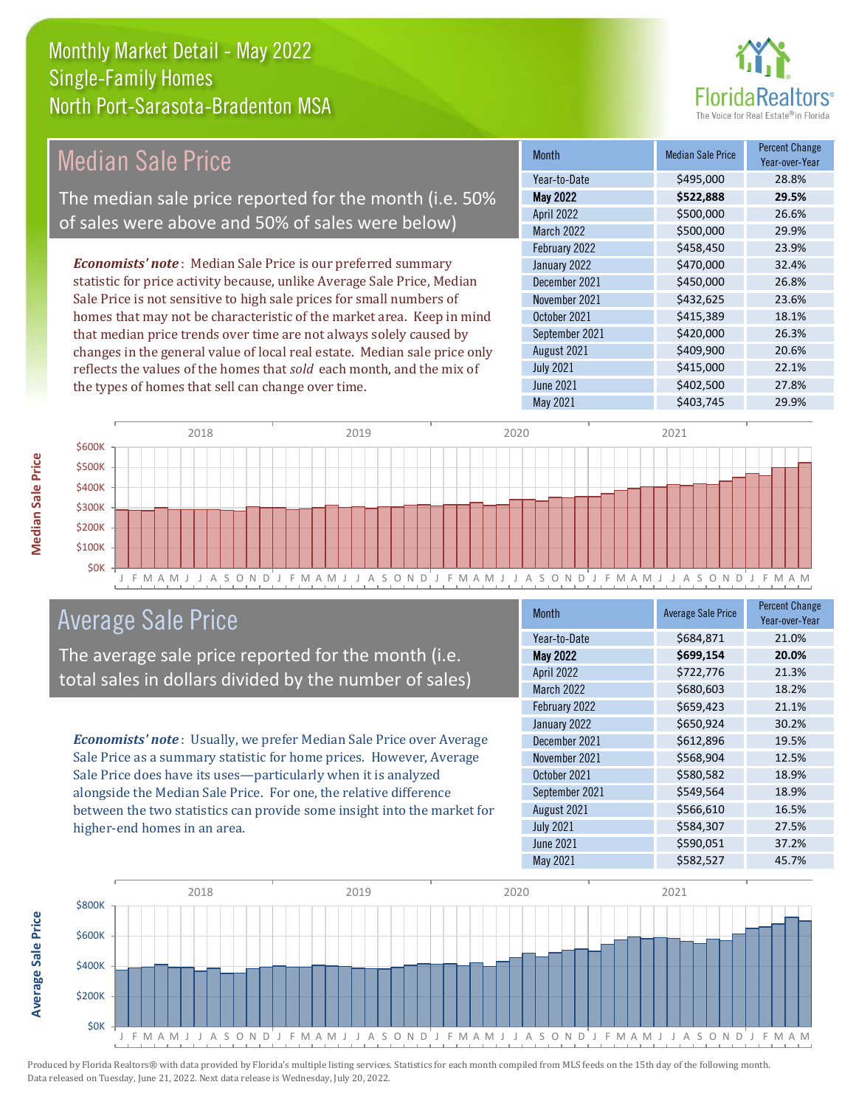

### *Economists' note* : Median Sale Price is our preferred summary statistic for price activity because, unlike Average Sale Price, Median Sale Price is not sensitive to high sale prices for small numbers of homes that may not be characteristic of the market area. Keep in mind that median price trends over time are not always solely caused by changes in the general value of local real estate. Median sale price only September 2021 **\$420,000** 26.3% August 2021 **\$409,900** 20.6% \$458,450 23.9% January 2022 <br>  $\frac{1}{2}$  \$470,000 32.4% October 2021 **\$415,389** 18.1% April 2022 \$500,000 26.6% March 2022 \$500,000 29.9% December 2021 \$450,000 26.8% November 2021 **\$432,625** 23.6% February 2022 Month Median Sale Price Percent Change Year-over-Year May 2022 **\$522,888 29.5%** Year-to-Date \$495,000 28.8% Median Sale Price The median sale price reported for the month (i.e. 50% of sales were above and 50% of sales were below)



## Average Sale Price

The average sale price reported for the month (i.e. total sales in dollars divided by the number of sales)

reflects the values of the homes that *sold* each month, and the mix of

the types of homes that sell can change over time.

*Economists' note* : Usually, we prefer Median Sale Price over Average Sale Price as a summary statistic for home prices. However, Average Sale Price does have its uses—particularly when it is analyzed alongside the Median Sale Price. For one, the relative difference between the two statistics can provide some insight into the market for higher-end homes in an area.

| <b>Month</b>     | <b>Average Sale Price</b> | <b>Percent Change</b><br>Year-over-Year |
|------------------|---------------------------|-----------------------------------------|
| Year-to-Date     | \$684,871                 | 21.0%                                   |
| <b>May 2022</b>  | \$699,154                 | 20.0%                                   |
| April 2022       | \$722,776                 | 21.3%                                   |
| March 2022       | \$680,603                 | 18.2%                                   |
| February 2022    | \$659,423                 | 21.1%                                   |
| January 2022     | \$650,924                 | 30.2%                                   |
| December 2021    | \$612,896                 | 19.5%                                   |
| November 2021    | \$568,904                 | 12.5%                                   |
| October 2021     | \$580,582                 | 18.9%                                   |
| September 2021   | \$549,564                 | 18.9%                                   |
| August 2021      | \$566,610                 | 16.5%                                   |
| <b>July 2021</b> | \$584,307                 | 27.5%                                   |
| <b>June 2021</b> | \$590,051                 | 37.2%                                   |
| May 2021         | \$582,527                 | 45.7%                                   |

July 2021 **\$415,000** 22.1% June 2021 **\$402,500** \$402,500 27.8%



Produced by Florida Realtors® with data provided by Florida's multiple listing services. Statistics for each month compiled from MLS feeds on the 15th day of the following month. Data released on Tuesday, June 21, 2022. Next data release is Wednesday, July 20, 2022.

**Average Sale Price**

**Average Sale Price**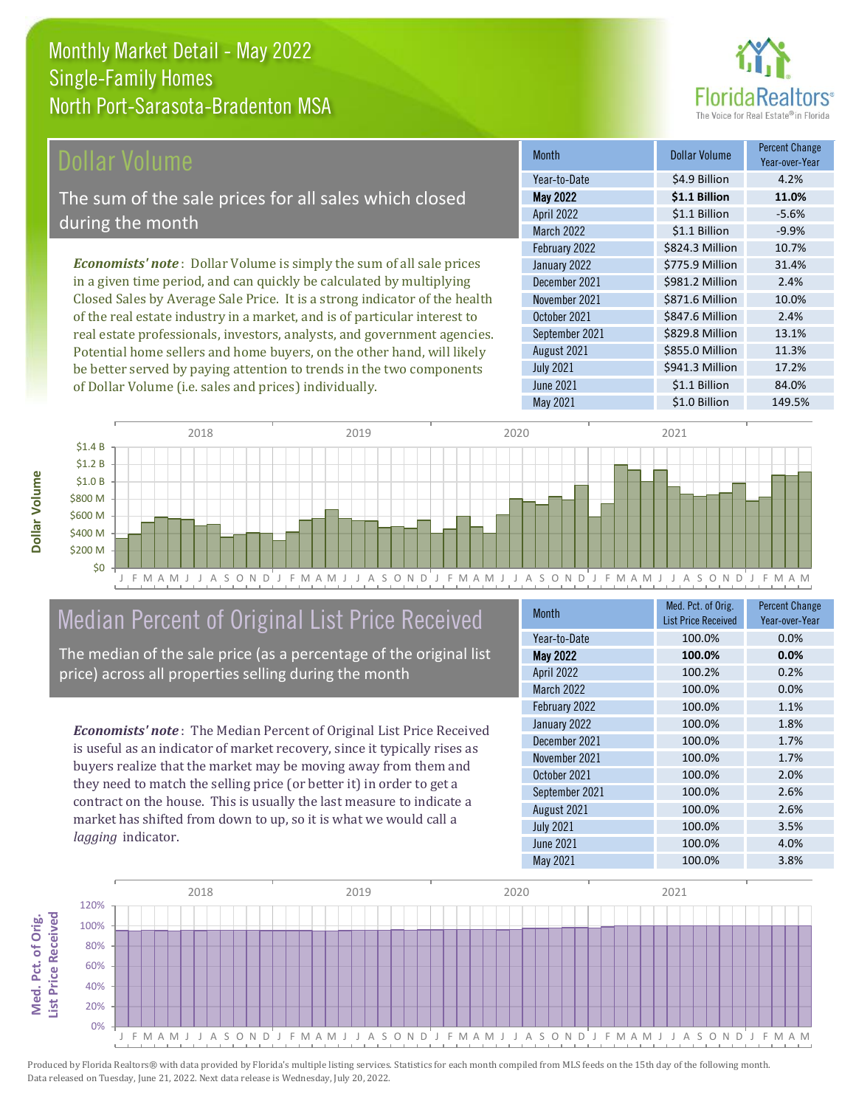

## Dollar Volume

The sum of the sale prices for all sales which closed during the month

*Economists' note* : Dollar Volume is simply the sum of all sale prices in a given time period, and can quickly be calculated by multiplying Closed Sales by Average Sale Price. It is a strong indicator of the health of the real estate industry in a market, and is of particular interest to real estate professionals, investors, analysts, and government agencies. Potential home sellers and home buyers, on the other hand, will likely be better served by paying attention to trends in the two components of Dollar Volume (i.e. sales and prices) individually.

| <b>Month</b>     | Dollar Volume   | <b>Percent Change</b><br>Year-over-Year |
|------------------|-----------------|-----------------------------------------|
| Year-to-Date     | \$4.9 Billion   | 4.2%                                    |
| <b>May 2022</b>  | \$1.1 Billion   | 11.0%                                   |
| April 2022       | \$1.1 Billion   | $-5.6%$                                 |
| March 2022       | \$1.1 Billion   | $-9.9%$                                 |
| February 2022    | \$824.3 Million | 10.7%                                   |
| January 2022     | \$775.9 Million | 31.4%                                   |
| December 2021    | \$981.2 Million | 2.4%                                    |
| November 2021    | \$871.6 Million | 10.0%                                   |
| October 2021     | \$847.6 Million | 2.4%                                    |
| September 2021   | \$829.8 Million | 13.1%                                   |
| August 2021      | \$855.0 Million | 11.3%                                   |
| <b>July 2021</b> | \$941.3 Million | 17.2%                                   |
| <b>June 2021</b> | \$1.1 Billion   | 84.0%                                   |
| <b>May 2021</b>  | \$1.0 Billion   | 149.5%                                  |



## Median Percent of Original List Price Received

The median of the sale price (as a percentage of the original list price) across all properties selling during the month

*Economists' note* : The Median Percent of Original List Price Received is useful as an indicator of market recovery, since it typically rises as buyers realize that the market may be moving away from them and they need to match the selling price (or better it) in order to get a contract on the house. This is usually the last measure to indicate a market has shifted from down to up, so it is what we would call a *lagging* indicator.

| <b>Month</b>      | Med. Pct. of Orig.         | <b>Percent Change</b> |
|-------------------|----------------------------|-----------------------|
|                   | <b>List Price Received</b> | Year-over-Year        |
| Year-to-Date      | 100.0%                     | 0.0%                  |
| <b>May 2022</b>   | 100.0%                     | 0.0%                  |
| April 2022        | 100.2%                     | 0.2%                  |
| <b>March 2022</b> | 100.0%                     | 0.0%                  |
| February 2022     | 100.0%                     | 1.1%                  |
| January 2022      | 100.0%                     | 1.8%                  |
| December 2021     | 100.0%                     | 1.7%                  |
| November 2021     | 100.0%                     | 1.7%                  |
| October 2021      | 100.0%                     | 2.0%                  |
| September 2021    | 100.0%                     | 2.6%                  |
| August 2021       | 100.0%                     | 2.6%                  |
| <b>July 2021</b>  | 100.0%                     | 3.5%                  |
| <b>June 2021</b>  | 100.0%                     | 4.0%                  |
| May 2021          | 100.0%                     | 3.8%                  |



Produced by Florida Realtors® with data provided by Florida's multiple listing services. Statistics for each month compiled from MLS feeds on the 15th day of the following month. Data released on Tuesday, June 21, 2022. Next data release is Wednesday, July 20, 2022.

**Med. Pct. of Orig.** 

Med. Pct. of Orig.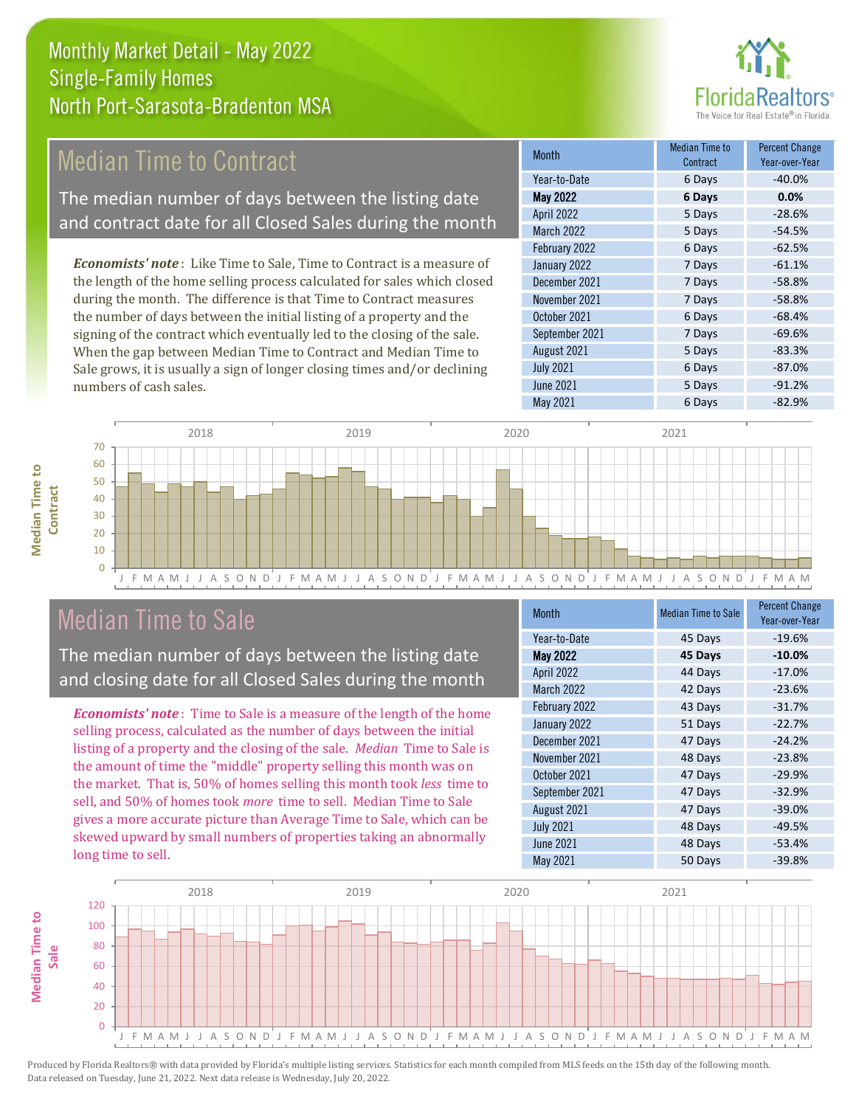

## Median Time to Contract

The median number of days between the listing date and contract date for all Closed Sales during the month

*Economists' note* : Like Time to Sale, Time to Contract is a measure of the length of the home selling process calculated for sales which closed during the month. The difference is that Time to Contract measures the number of days between the initial listing of a property and the signing of the contract which eventually led to the closing of the sale. When the gap between Median Time to Contract and Median Time to Sale grows, it is usually a sign of longer closing times and/or declining numbers of cash sales.

| <b>Month</b>      | Median Time to<br>Contract | Percent Change<br>Year-over-Year |
|-------------------|----------------------------|----------------------------------|
| Year-to-Date      | 6 Days                     | $-40.0%$                         |
| <b>May 2022</b>   | 6 Days                     | 0.0%                             |
| <b>April 2022</b> | 5 Days                     | $-28.6%$                         |
| March 2022        | 5 Days                     | $-54.5%$                         |
| February 2022     | 6 Days                     | $-62.5%$                         |
| January 2022      | 7 Days                     | $-61.1%$                         |
| December 2021     | 7 Days                     | $-58.8%$                         |
| November 2021     | 7 Days                     | $-58.8%$                         |
| October 2021      | 6 Days                     | $-68.4%$                         |
| September 2021    | 7 Days                     | $-69.6%$                         |
| August 2021       | 5 Days                     | $-83.3%$                         |
| <b>July 2021</b>  | 6 Days                     | $-87.0%$                         |
| <b>June 2021</b>  | 5 Days                     | $-91.2%$                         |
| <b>May 2021</b>   | 6 Days                     | $-82.9%$                         |



## Median Time to Sale

**Median Time to** 

**Median Time to** 

The median number of days between the listing date and closing date for all Closed Sales during the month

*Economists' note* : Time to Sale is a measure of the length of the home selling process, calculated as the number of days between the initial listing of a property and the closing of the sale. *Median* Time to Sale is the amount of time the "middle" property selling this month was on the market. That is, 50% of homes selling this month took *less* time to sell, and 50% of homes took *more* time to sell. Median Time to Sale gives a more accurate picture than Average Time to Sale, which can be skewed upward by small numbers of properties taking an abnormally long time to sell.

| <b>Month</b>      | <b>Median Time to Sale</b> | <b>Percent Change</b><br>Year-over-Year |
|-------------------|----------------------------|-----------------------------------------|
| Year-to-Date      | 45 Days                    | $-19.6%$                                |
| May 2022          | 45 Days                    | $-10.0%$                                |
| April 2022        | 44 Days                    | $-17.0%$                                |
| <b>March 2022</b> | 42 Days                    | $-23.6%$                                |
| February 2022     | 43 Days                    | $-31.7%$                                |
| January 2022      | 51 Days                    | $-22.7%$                                |
| December 2021     | 47 Days                    | $-24.2%$                                |
| November 2021     | 48 Days                    | $-23.8%$                                |
| October 2021      | 47 Days                    | $-29.9%$                                |
| September 2021    | 47 Days                    | $-32.9%$                                |
| August 2021       | 47 Days                    | $-39.0%$                                |
| <b>July 2021</b>  | 48 Days                    | $-49.5%$                                |
| <b>June 2021</b>  | 48 Days                    | $-53.4%$                                |
| May 2021          | 50 Days                    | $-39.8%$                                |

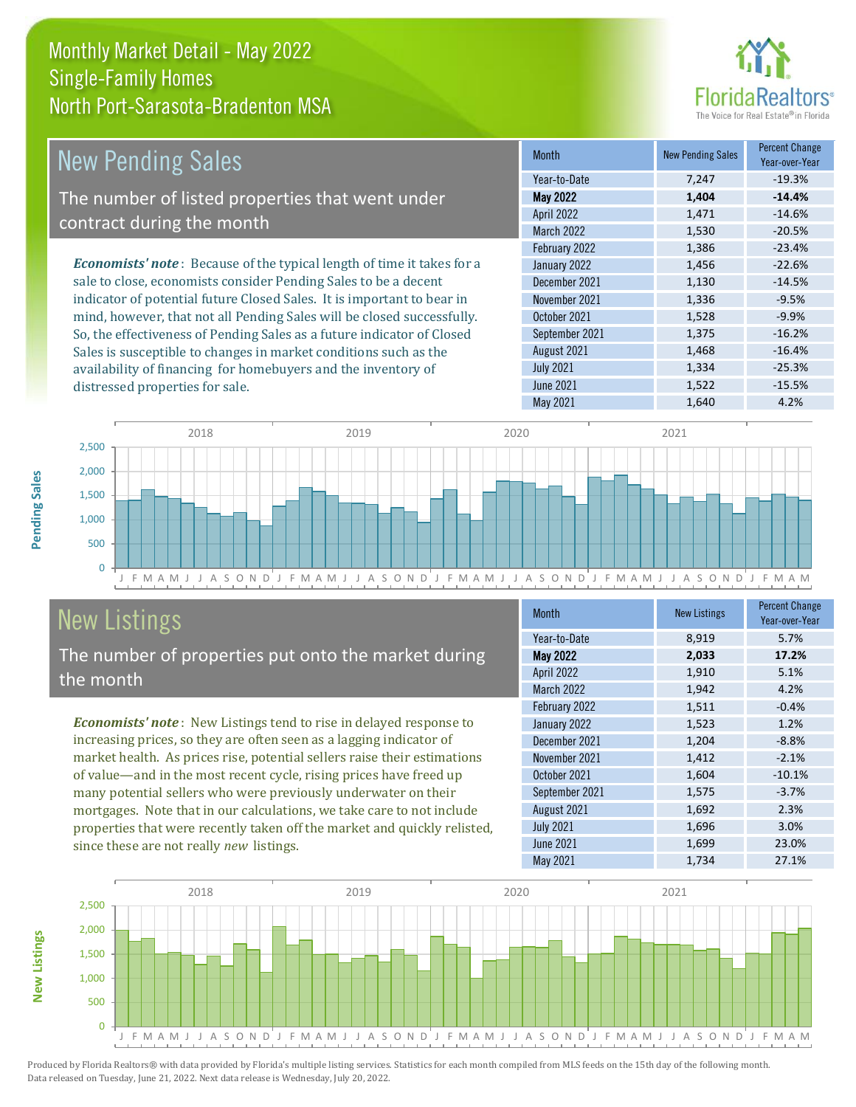

| <b>New Pending Sales</b>                                                      | <b>Month</b>      | <b>New Pending Sales</b> | <b>Percent Change</b><br>Year-over-Year |
|-------------------------------------------------------------------------------|-------------------|--------------------------|-----------------------------------------|
|                                                                               | Year-to-Date      | 7,247                    | $-19.3%$                                |
| The number of listed properties that went under                               | <b>May 2022</b>   | 1,404                    | $-14.4%$                                |
| contract during the month                                                     | <b>April 2022</b> | 1.471                    | $-14.6%$                                |
|                                                                               | <b>March 2022</b> | 1,530                    | $-20.5%$                                |
|                                                                               | February 2022     | 1,386                    | $-23.4%$                                |
| <b>Economists' note:</b> Because of the typical length of time it takes for a | January 2022      | 1,456                    | $-22.6%$                                |
| sale to close, economists consider Pending Sales to be a decent               | December 2021     | 1,130                    | $-14.5%$                                |
| indicator of potential future Closed Sales. It is important to bear in        | November 2021     | 1,336                    | $-9.5%$                                 |
| mind, however, that not all Pending Sales will be closed successfully.        | October 2021      | 1,528                    | $-9.9%$                                 |
| So, the effectiveness of Pending Sales as a future indicator of Closed        | September 2021    | 1,375                    | $-16.2%$                                |
| Sales is susceptible to changes in market conditions such as the              | August 2021       | 1,468                    | $-16.4%$                                |



## New Listings

distressed properties for sale.

The number of properties put onto the market during the month

availability of financing for homebuyers and the inventory of

*Economists' note* : New Listings tend to rise in delayed response to increasing prices, so they are often seen as a lagging indicator of market health. As prices rise, potential sellers raise their estimations of value—and in the most recent cycle, rising prices have freed up many potential sellers who were previously underwater on their mortgages. Note that in our calculations, we take care to not include properties that were recently taken off the market and quickly relisted, since these are not really *new* listings.

| Month             | <b>New Listings</b> | <b>Percent Change</b><br>Year-over-Year |
|-------------------|---------------------|-----------------------------------------|
| Year-to-Date      | 8,919               | 5.7%                                    |
| May 2022          | 2,033               | 17.2%                                   |
| April 2022        | 1,910               | 5.1%                                    |
| <b>March 2022</b> | 1,942               | 4.2%                                    |
| February 2022     | 1,511               | $-0.4%$                                 |
| January 2022      | 1,523               | 1.2%                                    |
| December 2021     | 1,204               | $-8.8%$                                 |
| November 2021     | 1,412               | $-2.1%$                                 |
| October 2021      | 1,604               | $-10.1%$                                |
| September 2021    | 1,575               | $-3.7%$                                 |
| August 2021       | 1,692               | 2.3%                                    |
| <b>July 2021</b>  | 1,696               | 3.0%                                    |
| <b>June 2021</b>  | 1,699               | 23.0%                                   |
| May 2021          | 1,734               | 27.1%                                   |

May 2021 1,640 4.2%

 $July 2021$   $1,334$   $-25.3%$ June 2021 **1,522** -15.5%



**New Listings**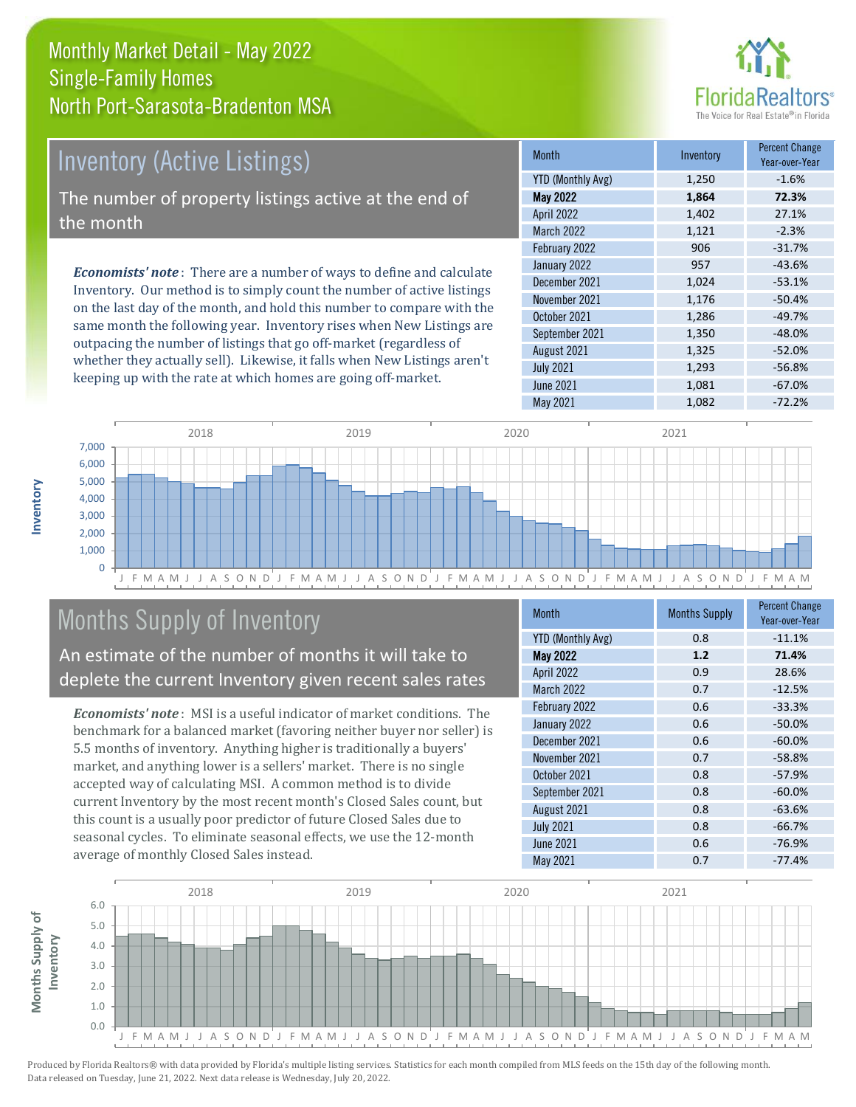## Monthly Market Detail - May 2022 North Port-Sarasota-Bradenton MSA Single-Family Homes

## Inventory (Active Listings) The number of property listings active at the end of the month

*Economists' note* : There are a number of ways to define and calculate Inventory. Our method is to simply count the number of active listings on the last day of the month, and hold this number to compare with the same month the following year. Inventory rises when New Listings are outpacing the number of listings that go off-market (regardless of whether they actually sell). Likewise, it falls when New Listings aren't keeping up with the rate at which homes are going off-market.

| <b>Month</b>             | Inventory | <b>Percent Change</b><br>Year-over-Year |
|--------------------------|-----------|-----------------------------------------|
| <b>YTD (Monthly Avg)</b> | 1,250     | $-1.6%$                                 |
| <b>May 2022</b>          | 1,864     | 72.3%                                   |
| April 2022               | 1,402     | 27.1%                                   |
| <b>March 2022</b>        | 1,121     | $-2.3%$                                 |
| February 2022            | 906       | $-31.7%$                                |
| January 2022             | 957       | $-43.6%$                                |
| December 2021            | 1,024     | $-53.1%$                                |
| November 2021            | 1,176     | $-50.4%$                                |
| October 2021             | 1,286     | $-49.7%$                                |
| September 2021           | 1,350     | $-48.0%$                                |
| August 2021              | 1,325     | $-52.0%$                                |
| <b>July 2021</b>         | 1,293     | $-56.8%$                                |
| <b>June 2021</b>         | 1,081     | $-67.0%$                                |
| May 2021                 | 1,082     | $-72.2%$                                |



## Months Supply of Inventory

An estimate of the number of months it will take to deplete the current Inventory given recent sales rates

*Economists' note* : MSI is a useful indicator of market conditions. The benchmark for a balanced market (favoring neither buyer nor seller) is 5.5 months of inventory. Anything higher is traditionally a buyers' market, and anything lower is a sellers' market. There is no single accepted way of calculating MSI. A common method is to divide current Inventory by the most recent month's Closed Sales count, but this count is a usually poor predictor of future Closed Sales due to seasonal cycles. To eliminate seasonal effects, we use the 12-month average of monthly Closed Sales instead.

| <b>Month</b>             | <b>Months Supply</b> | <b>Percent Change</b><br>Year-over-Year |
|--------------------------|----------------------|-----------------------------------------|
| <b>YTD (Monthly Avg)</b> | 0.8                  | $-11.1%$                                |
| May 2022                 | 1.2                  | 71.4%                                   |
| April 2022               | 0.9                  | 28.6%                                   |
| March 2022               | 0.7                  | $-12.5%$                                |
| February 2022            | 0.6                  | $-33.3%$                                |
| January 2022             | 0.6                  | $-50.0%$                                |
| December 2021            | 0.6                  | $-60.0%$                                |
| November 2021            | 0.7                  | $-58.8%$                                |
| October 2021             | 0.8                  | $-57.9%$                                |
| September 2021           | 0.8                  | $-60.0%$                                |
| August 2021              | 0.8                  | $-63.6%$                                |
| <b>July 2021</b>         | 0.8                  | $-66.7%$                                |
| June 2021                | 0.6                  | $-76.9%$                                |
| May 2021                 | 0.7                  | $-77.4%$                                |

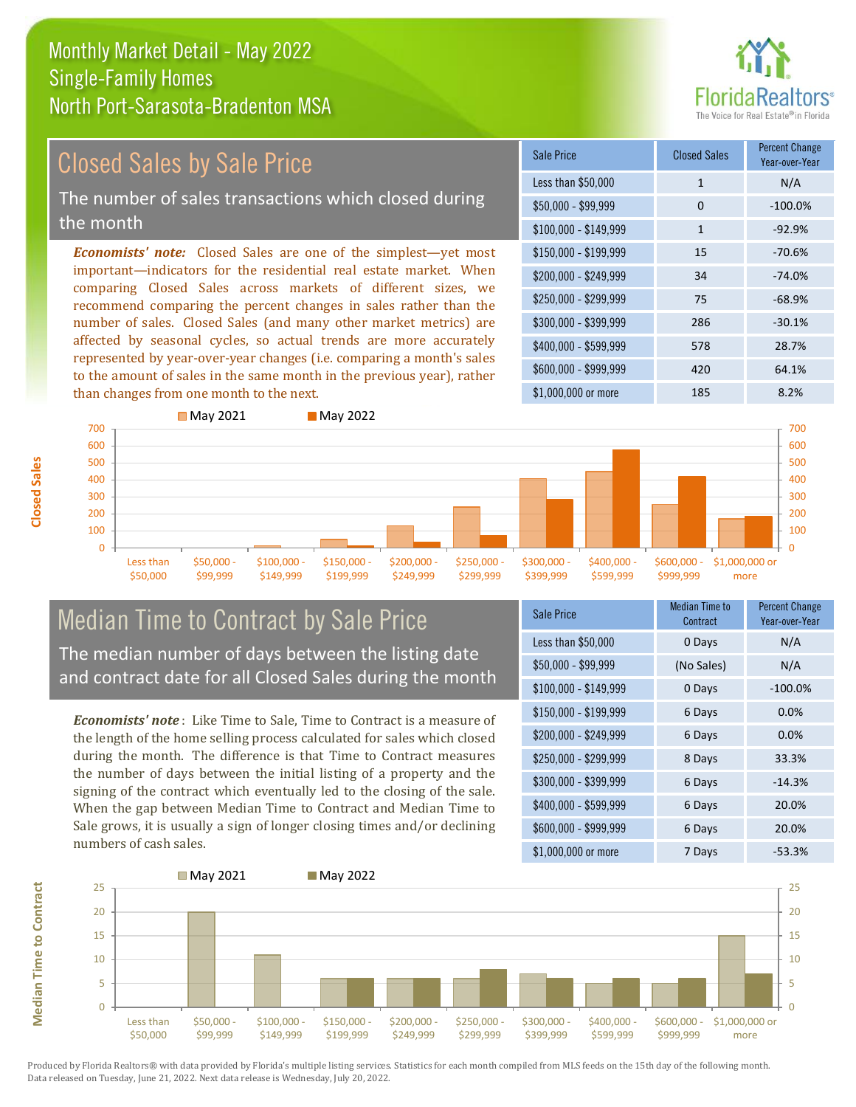# **FloridaRealtors**

## Closed Sales by Sale Price

The number of sales transactions which closed during the month

*Economists' note:* Closed Sales are one of the simplest—yet most important—indicators for the residential real estate market. When comparing Closed Sales across markets of different sizes, we recommend comparing the percent changes in sales rather than the number of sales. Closed Sales (and many other market metrics) are affected by seasonal cycles, so actual trends are more accurately represented by year-over-year changes (i.e. comparing a month's sales to the amount of sales in the same month in the previous year), rather than changes from one month to the next.





## Median Time to Contract by Sale Price The median number of days between the listing date

and contract date for all Closed Sales during the month

*Economists' note* : Like Time to Sale, Time to Contract is a measure of the length of the home selling process calculated for sales which closed during the month. The difference is that Time to Contract measures the number of days between the initial listing of a property and the signing of the contract which eventually led to the closing of the sale. When the gap between Median Time to Contract and Median Time to Sale grows, it is usually a sign of longer closing times and/or declining numbers of cash sales.

| Sale Price            | Median Time to<br>Contract | <b>Percent Change</b><br>Year-over-Year |  |
|-----------------------|----------------------------|-----------------------------------------|--|
| Less than \$50,000    | 0 Days                     | N/A                                     |  |
| \$50,000 - \$99,999   | (No Sales)                 | N/A                                     |  |
| \$100,000 - \$149,999 | 0 Days                     | $-100.0%$                               |  |
| $$150,000 - $199,999$ | 6 Days                     | 0.0%                                    |  |
| \$200,000 - \$249,999 | 6 Days                     | 0.0%                                    |  |
| \$250,000 - \$299,999 | 8 Days                     | 33.3%                                   |  |
| \$300,000 - \$399,999 | 6 Days                     | $-14.3%$                                |  |
| \$400,000 - \$599,999 | 6 Days                     | 20.0%                                   |  |
| \$600,000 - \$999,999 | 6 Days                     | 20.0%                                   |  |
| \$1,000,000 or more   | 7 Days                     | $-53.3%$                                |  |

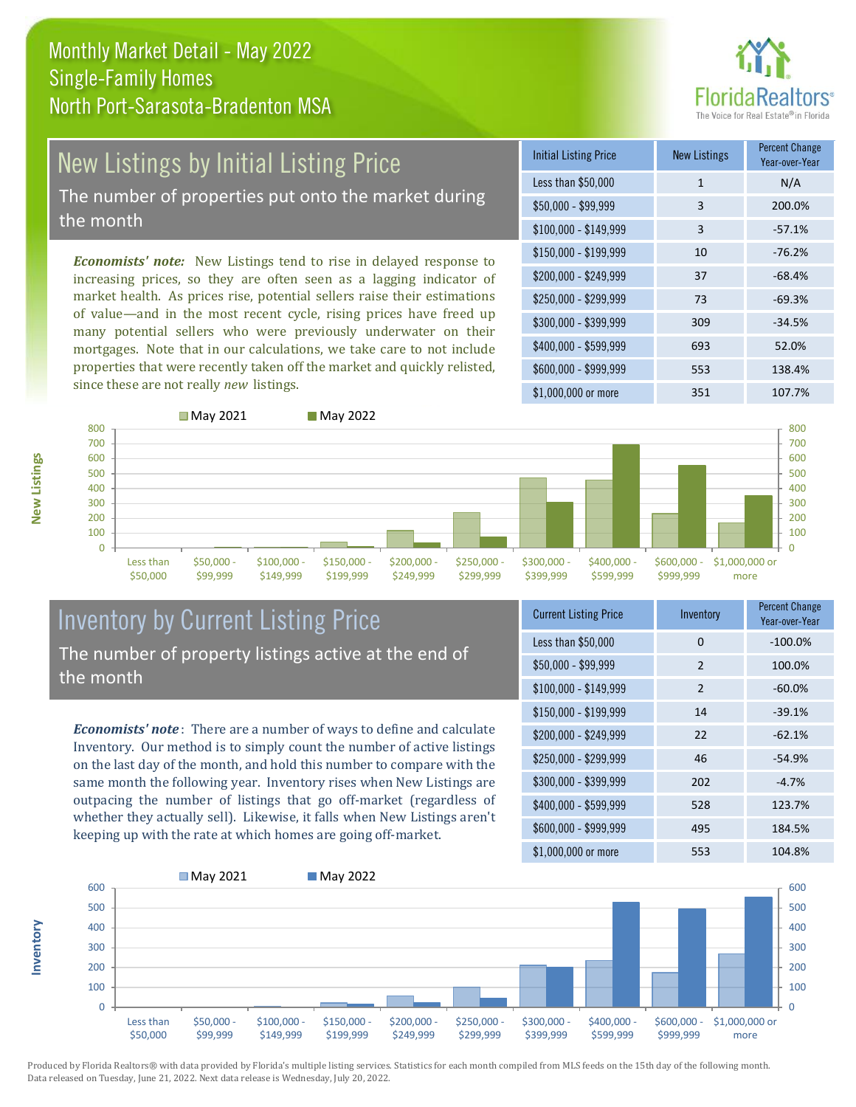

## New Listings by Initial Listing Price

The number of properties put onto the market during the month

*Economists' note:* New Listings tend to rise in delayed response to increasing prices, so they are often seen as a lagging indicator of market health. As prices rise, potential sellers raise their estimations of value—and in the most recent cycle, rising prices have freed up many potential sellers who were previously underwater on their mortgages. Note that in our calculations, we take care to not include properties that were recently taken off the market and quickly relisted, since these are not really *new* listings.





**Inventory**

|                       | ■ May 2021              |                           | ■ May 2022                |                           |                           |                           |                           |                          |                        | 800                                                       |
|-----------------------|-------------------------|---------------------------|---------------------------|---------------------------|---------------------------|---------------------------|---------------------------|--------------------------|------------------------|-----------------------------------------------------------|
|                       |                         |                           |                           |                           |                           |                           |                           |                          |                        | 700<br>600<br>500<br>400<br>300<br>200<br>100<br>$\Omega$ |
| Less than<br>\$50,000 | $$50,000 -$<br>\$99,999 | $$100,000 -$<br>\$149,999 | $$150,000 -$<br>\$199,999 | $$200,000 -$<br>\$249,999 | $$250,000 -$<br>\$299,999 | $$300,000 -$<br>\$399,999 | $$400,000 -$<br>\$599,999 | \$600,000 -<br>\$999,999 | \$1,000,000 or<br>more |                                                           |

## Inventory by Current Listing Price The number of property listings active at the end of the month

*Economists' note* : There are a number of ways to define and calculate Inventory. Our method is to simply count the number of active listings on the last day of the month, and hold this number to compare with the same month the following year. Inventory rises when New Listings are outpacing the number of listings that go off-market (regardless of whether they actually sell). Likewise, it falls when New Listings aren't keeping up with the rate at which homes are going off-market.

| <b>Current Listing Price</b> | Inventory      | <b>Percent Change</b><br>Year-over-Year |
|------------------------------|----------------|-----------------------------------------|
| Less than \$50,000           | 0              | $-100.0%$                               |
| \$50,000 - \$99,999          | $\overline{2}$ | 100.0%                                  |
| $$100,000 - $149,999$        | $\overline{2}$ | $-60.0%$                                |
| $$150,000 - $199,999$        | 14             | $-39.1%$                                |
| \$200,000 - \$249,999        | 22             | $-62.1%$                                |
| \$250,000 - \$299,999        | 46             | $-54.9%$                                |
| \$300,000 - \$399,999        | 202            | $-4.7%$                                 |
| \$400,000 - \$599,999        | 528            | 123.7%                                  |
| \$600,000 - \$999,999        | 495            | 184.5%                                  |
| \$1,000,000 or more          | 553            | 104.8%                                  |